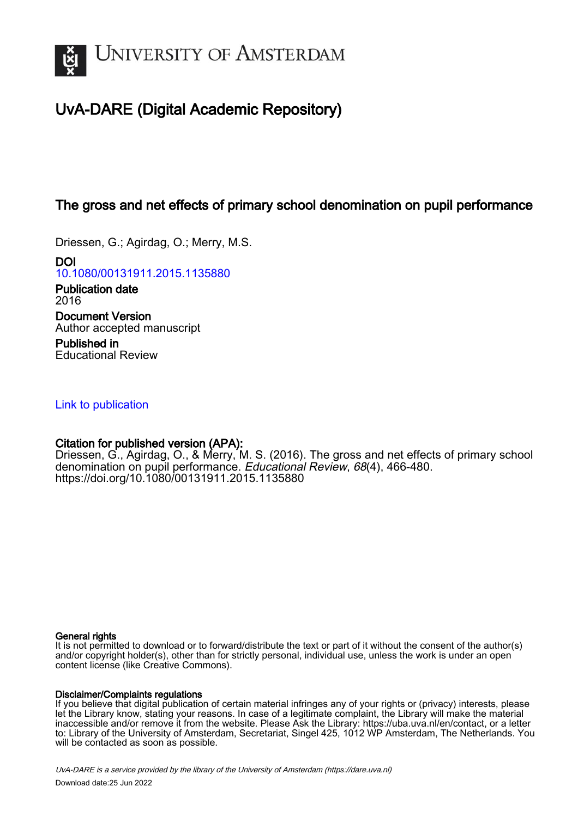

## UvA-DARE (Digital Academic Repository)

## The gross and net effects of primary school denomination on pupil performance

Driessen, G.; Agirdag, O.; Merry, M.S.

DOI [10.1080/00131911.2015.1135880](https://doi.org/10.1080/00131911.2015.1135880)

Publication date 2016 Document Version Author accepted manuscript

Published in Educational Review

## [Link to publication](https://dare.uva.nl/personal/pure/en/publications/the-gross-and-net-effects-of-primary-school-denomination-on-pupil-performance(acefc291-7ec3-4b91-8f0c-4e5e021643ff).html)

### Citation for published version (APA):

Driessen, G., Agirdag, O., & Merry, M. S. (2016). The gross and net effects of primary school denomination on pupil performance. Educational Review, 68(4), 466-480. <https://doi.org/10.1080/00131911.2015.1135880>

#### General rights

It is not permitted to download or to forward/distribute the text or part of it without the consent of the author(s) and/or copyright holder(s), other than for strictly personal, individual use, unless the work is under an open content license (like Creative Commons).

#### Disclaimer/Complaints regulations

If you believe that digital publication of certain material infringes any of your rights or (privacy) interests, please let the Library know, stating your reasons. In case of a legitimate complaint, the Library will make the material inaccessible and/or remove it from the website. Please Ask the Library: https://uba.uva.nl/en/contact, or a letter to: Library of the University of Amsterdam, Secretariat, Singel 425, 1012 WP Amsterdam, The Netherlands. You will be contacted as soon as possible.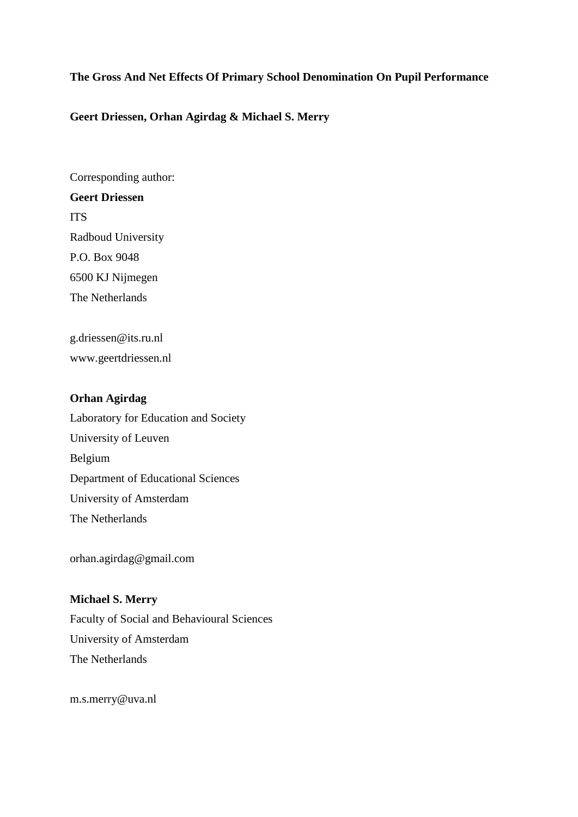## **The Gross And Net Effects Of Primary School Denomination On Pupil Performance**

## **Geert Driessen, Orhan Agirdag & Michael S. Merry**

Corresponding author: **Geert Driessen** ITS Radboud University P.O. Box 9048 6500 KJ Nijmegen The Netherlands

g.driessen@its.ru.nl www.geertdriessen.nl

## **Orhan Agirdag**

Laboratory for Education and Society University of Leuven Belgium Department of Educational Sciences University of Amsterdam The Netherlands

orhan.agirdag@gmail.com

## **Michael S. Merry**

Faculty of Social and Behavioural Sciences University of Amsterdam The Netherlands

m.s.merry@uva.nl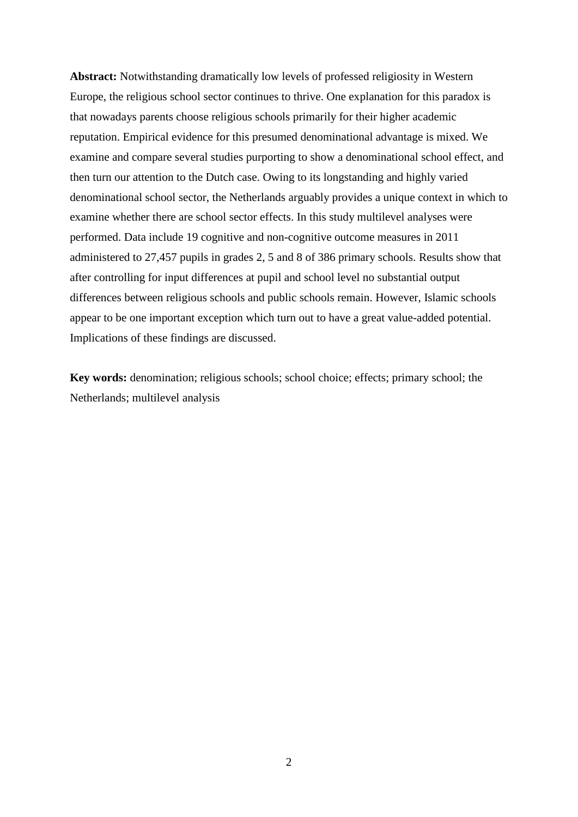**Abstract:** Notwithstanding dramatically low levels of professed religiosity in Western Europe, the religious school sector continues to thrive. One explanation for this paradox is that nowadays parents choose religious schools primarily for their higher academic reputation. Empirical evidence for this presumed denominational advantage is mixed. We examine and compare several studies purporting to show a denominational school effect, and then turn our attention to the Dutch case. Owing to its longstanding and highly varied denominational school sector, the Netherlands arguably provides a unique context in which to examine whether there are school sector effects. In this study multilevel analyses were performed. Data include 19 cognitive and non-cognitive outcome measures in 2011 administered to 27,457 pupils in grades 2, 5 and 8 of 386 primary schools. Results show that after controlling for input differences at pupil and school level no substantial output differences between religious schools and public schools remain. However, Islamic schools appear to be one important exception which turn out to have a great value-added potential. Implications of these findings are discussed.

**Key words:** denomination; religious schools; school choice; effects; primary school; the Netherlands; multilevel analysis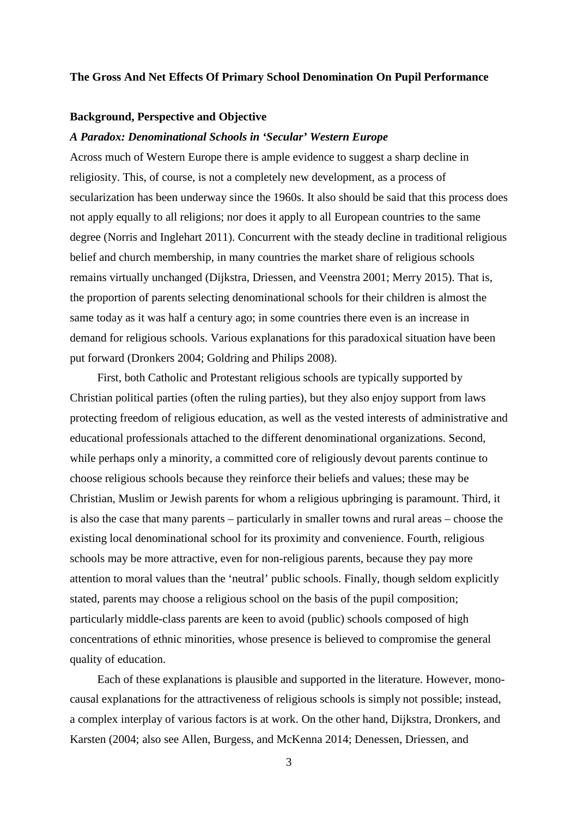#### **The Gross And Net Effects Of Primary School Denomination On Pupil Performance**

#### **Background, Perspective and Objective**

#### *A Paradox: Denominational Schools in 'Secular' Western Europe*

Across much of Western Europe there is ample evidence to suggest a sharp decline in religiosity. This, of course, is not a completely new development, as a process of secularization has been underway since the 1960s. It also should be said that this process does not apply equally to all religions; nor does it apply to all European countries to the same degree (Norris and Inglehart 2011). Concurrent with the steady decline in traditional religious belief and church membership, in many countries the market share of religious schools remains virtually unchanged (Dijkstra, Driessen, and Veenstra 2001; Merry 2015). That is, the proportion of parents selecting denominational schools for their children is almost the same today as it was half a century ago; in some countries there even is an increase in demand for religious schools. Various explanations for this paradoxical situation have been put forward (Dronkers 2004; Goldring and Philips 2008).

First, both Catholic and Protestant religious schools are typically supported by Christian political parties (often the ruling parties), but they also enjoy support from laws protecting freedom of religious education, as well as the vested interests of administrative and educational professionals attached to the different denominational organizations. Second, while perhaps only a minority, a committed core of religiously devout parents continue to choose religious schools because they reinforce their beliefs and values; these may be Christian, Muslim or Jewish parents for whom a religious upbringing is paramount. Third, it is also the case that many parents – particularly in smaller towns and rural areas – choose the existing local denominational school for its proximity and convenience. Fourth, religious schools may be more attractive, even for non-religious parents, because they pay more attention to moral values than the 'neutral' public schools. Finally, though seldom explicitly stated, parents may choose a religious school on the basis of the pupil composition; particularly middle-class parents are keen to avoid (public) schools composed of high concentrations of ethnic minorities, whose presence is believed to compromise the general quality of education.

Each of these explanations is plausible and supported in the literature. However, monocausal explanations for the attractiveness of religious schools is simply not possible; instead, a complex interplay of various factors is at work. On the other hand, Dijkstra, Dronkers, and Karsten (2004; also see Allen, Burgess, and McKenna 2014; Denessen, Driessen, and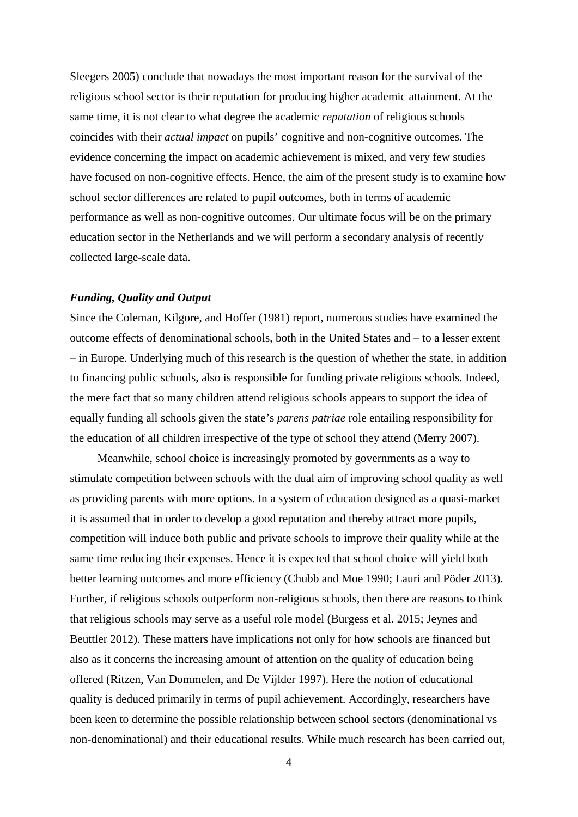Sleegers 2005) conclude that nowadays the most important reason for the survival of the religious school sector is their reputation for producing higher academic attainment. At the same time, it is not clear to what degree the academic *reputation* of religious schools coincides with their *actual impact* on pupils' cognitive and non-cognitive outcomes. The evidence concerning the impact on academic achievement is mixed, and very few studies have focused on non-cognitive effects. Hence, the aim of the present study is to examine how school sector differences are related to pupil outcomes, both in terms of academic performance as well as non-cognitive outcomes. Our ultimate focus will be on the primary education sector in the Netherlands and we will perform a secondary analysis of recently collected large-scale data.

#### *Funding, Quality and Output*

Since the Coleman, Kilgore, and Hoffer (1981) report, numerous studies have examined the outcome effects of denominational schools, both in the United States and – to a lesser extent – in Europe. Underlying much of this research is the question of whether the state, in addition to financing public schools, also is responsible for funding private religious schools. Indeed, the mere fact that so many children attend religious schools appears to support the idea of equally funding all schools given the state's *parens patriae* role entailing responsibility for the education of all children irrespective of the type of school they attend (Merry 2007).

Meanwhile, school choice is increasingly promoted by governments as a way to stimulate competition between schools with the dual aim of improving school quality as well as providing parents with more options. In a system of education designed as a quasi-market it is assumed that in order to develop a good reputation and thereby attract more pupils, competition will induce both public and private schools to improve their quality while at the same time reducing their expenses. Hence it is expected that school choice will yield both better learning outcomes and more efficiency (Chubb and Moe 1990; Lauri and Pöder 2013). Further, if religious schools outperform non-religious schools, then there are reasons to think that religious schools may serve as a useful role model (Burgess et al. 2015; Jeynes and Beuttler 2012). These matters have implications not only for how schools are financed but also as it concerns the increasing amount of attention on the quality of education being offered (Ritzen, Van Dommelen, and De Vijlder 1997). Here the notion of educational quality is deduced primarily in terms of pupil achievement. Accordingly, researchers have been keen to determine the possible relationship between school sectors (denominational vs non-denominational) and their educational results. While much research has been carried out,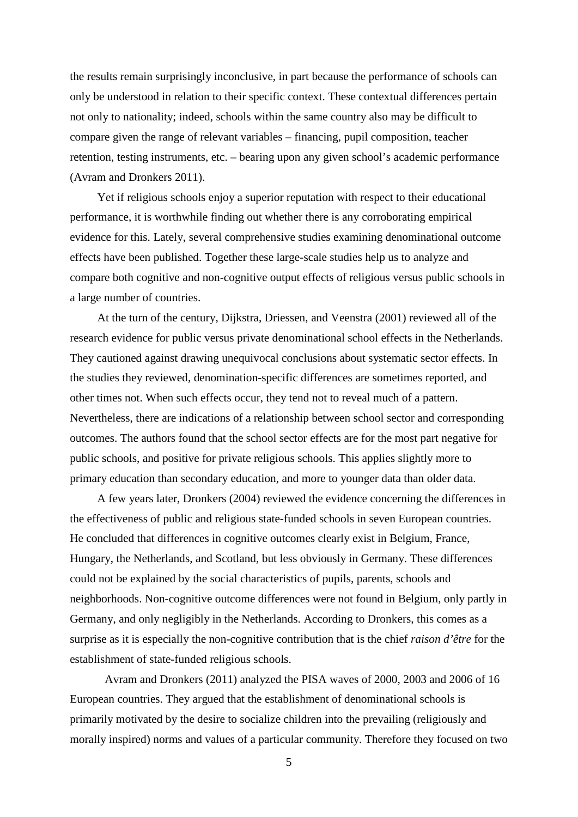the results remain surprisingly inconclusive, in part because the performance of schools can only be understood in relation to their specific context. These contextual differences pertain not only to nationality; indeed, schools within the same country also may be difficult to compare given the range of relevant variables – financing, pupil composition, teacher retention, testing instruments, etc. – bearing upon any given school's academic performance (Avram and Dronkers 2011).

Yet if religious schools enjoy a superior reputation with respect to their educational performance, it is worthwhile finding out whether there is any corroborating empirical evidence for this. Lately, several comprehensive studies examining denominational outcome effects have been published. Together these large-scale studies help us to analyze and compare both cognitive and non-cognitive output effects of religious versus public schools in a large number of countries.

At the turn of the century, Dijkstra, Driessen, and Veenstra (2001) reviewed all of the research evidence for public versus private denominational school effects in the Netherlands. They cautioned against drawing unequivocal conclusions about systematic sector effects. In the studies they reviewed, denomination-specific differences are sometimes reported, and other times not. When such effects occur, they tend not to reveal much of a pattern. Nevertheless, there are indications of a relationship between school sector and corresponding outcomes. The authors found that the school sector effects are for the most part negative for public schools, and positive for private religious schools. This applies slightly more to primary education than secondary education, and more to younger data than older data.

A few years later, Dronkers (2004) reviewed the evidence concerning the differences in the effectiveness of public and religious state-funded schools in seven European countries. He concluded that differences in cognitive outcomes clearly exist in Belgium, France, Hungary, the Netherlands, and Scotland, but less obviously in Germany. These differences could not be explained by the social characteristics of pupils, parents, schools and neighborhoods. Non-cognitive outcome differences were not found in Belgium, only partly in Germany, and only negligibly in the Netherlands. According to Dronkers, this comes as a surprise as it is especially the non-cognitive contribution that is the chief *raison d'être* for the establishment of state-funded religious schools.

Avram and Dronkers (2011) analyzed the PISA waves of 2000, 2003 and 2006 of 16 European countries. They argued that the establishment of denominational schools is primarily motivated by the desire to socialize children into the prevailing (religiously and morally inspired) norms and values of a particular community. Therefore they focused on two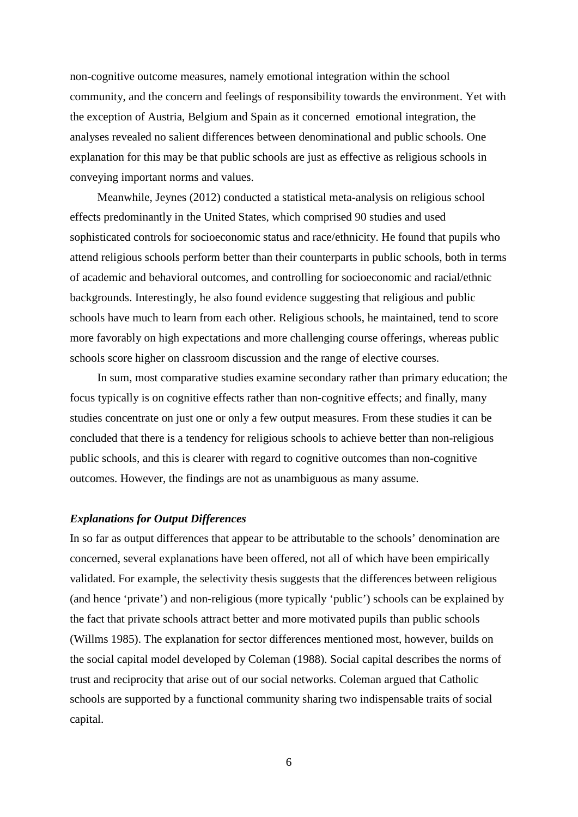non-cognitive outcome measures, namely emotional integration within the school community, and the concern and feelings of responsibility towards the environment. Yet with the exception of Austria, Belgium and Spain as it concerned emotional integration, the analyses revealed no salient differences between denominational and public schools. One explanation for this may be that public schools are just as effective as religious schools in conveying important norms and values.

Meanwhile, Jeynes (2012) conducted a statistical meta-analysis on religious school effects predominantly in the United States, which comprised 90 studies and used sophisticated controls for socioeconomic status and race/ethnicity. He found that pupils who attend religious schools perform better than their counterparts in public schools, both in terms of academic and behavioral outcomes, and controlling for socioeconomic and racial/ethnic backgrounds. Interestingly, he also found evidence suggesting that religious and public schools have much to learn from each other. Religious schools, he maintained, tend to score more favorably on high expectations and more challenging course offerings, whereas public schools score higher on classroom discussion and the range of elective courses.

In sum, most comparative studies examine secondary rather than primary education; the focus typically is on cognitive effects rather than non-cognitive effects; and finally, many studies concentrate on just one or only a few output measures. From these studies it can be concluded that there is a tendency for religious schools to achieve better than non-religious public schools, and this is clearer with regard to cognitive outcomes than non-cognitive outcomes. However, the findings are not as unambiguous as many assume.

#### *Explanations for Output Differences*

In so far as output differences that appear to be attributable to the schools' denomination are concerned, several explanations have been offered, not all of which have been empirically validated. For example, the selectivity thesis suggests that the differences between religious (and hence 'private') and non-religious (more typically 'public') schools can be explained by the fact that private schools attract better and more motivated pupils than public schools (Willms 1985). The explanation for sector differences mentioned most, however, builds on the social capital model developed by Coleman (1988). Social capital describes the norms of trust and reciprocity that arise out of our social networks. Coleman argued that Catholic schools are supported by a functional community sharing two indispensable traits of social capital.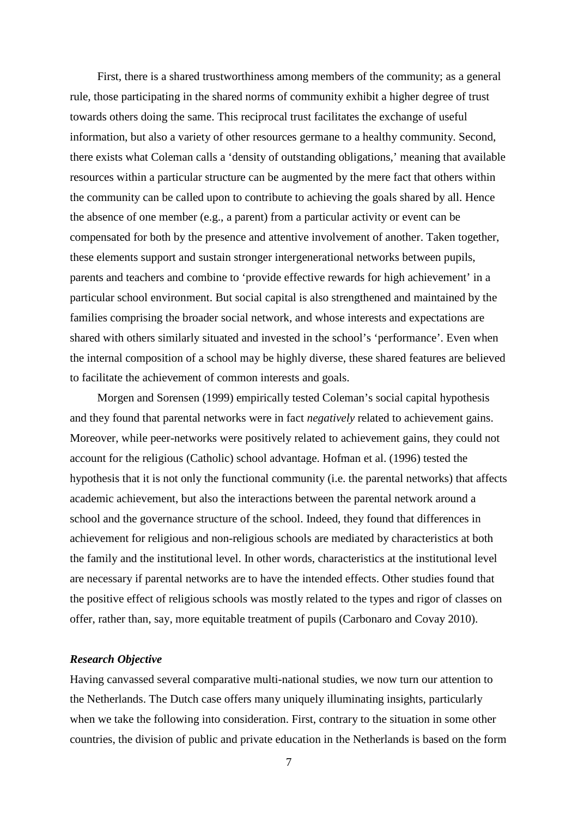First, there is a shared trustworthiness among members of the community; as a general rule, those participating in the shared norms of community exhibit a higher degree of trust towards others doing the same. This reciprocal trust facilitates the exchange of useful information, but also a variety of other resources germane to a healthy community. Second, there exists what Coleman calls a 'density of outstanding obligations,' meaning that available resources within a particular structure can be augmented by the mere fact that others within the community can be called upon to contribute to achieving the goals shared by all. Hence the absence of one member (e.g., a parent) from a particular activity or event can be compensated for both by the presence and attentive involvement of another. Taken together, these elements support and sustain stronger intergenerational networks between pupils, parents and teachers and combine to 'provide effective rewards for high achievement' in a particular school environment. But social capital is also strengthened and maintained by the families comprising the broader social network, and whose interests and expectations are shared with others similarly situated and invested in the school's 'performance'. Even when the internal composition of a school may be highly diverse, these shared features are believed to facilitate the achievement of common interests and goals.

Morgen and Sorensen (1999) empirically tested Coleman's social capital hypothesis and they found that parental networks were in fact *negatively* related to achievement gains. Moreover, while peer-networks were positively related to achievement gains, they could not account for the religious (Catholic) school advantage. Hofman et al. (1996) tested the hypothesis that it is not only the functional community (i.e. the parental networks) that affects academic achievement, but also the interactions between the parental network around a school and the governance structure of the school. Indeed, they found that differences in achievement for religious and non-religious schools are mediated by characteristics at both the family and the institutional level. In other words, characteristics at the institutional level are necessary if parental networks are to have the intended effects. Other studies found that the positive effect of religious schools was mostly related to the types and rigor of classes on offer, rather than, say, more equitable treatment of pupils (Carbonaro and Covay 2010).

### *Research Objective*

Having canvassed several comparative multi-national studies, we now turn our attention to the Netherlands. The Dutch case offers many uniquely illuminating insights, particularly when we take the following into consideration. First, contrary to the situation in some other countries, the division of public and private education in the Netherlands is based on the form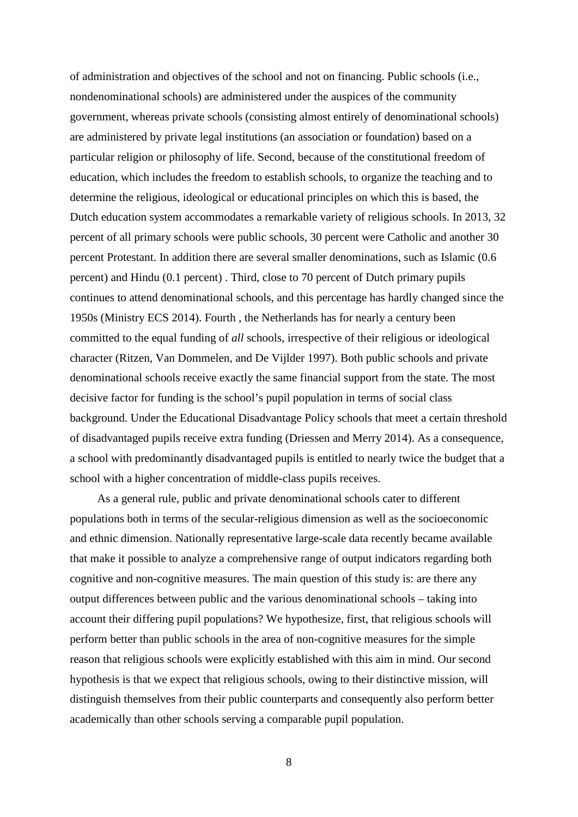of administration and objectives of the school and not on financing. Public schools (i.e., nondenominational schools) are administered under the auspices of the community government, whereas private schools (consisting almost entirely of denominational schools) are administered by private legal institutions (an association or foundation) based on a particular religion or philosophy of life. Second, because of the constitutional freedom of education, which includes the freedom to establish schools, to organize the teaching and to determine the religious, ideological or educational principles on which this is based, the Dutch education system accommodates a remarkable variety of religious schools. In 2013, 32 percent of all primary schools were public schools, 30 percent were Catholic and another 30 percent Protestant. In addition there are several smaller denominations, such as Islamic (0.6 percent) and Hindu (0.1 percent) . Third, close to 70 percent of Dutch primary pupils continues to attend denominational schools, and this percentage has hardly changed since the 1950s (Ministry ECS 2014). Fourth , the Netherlands has for nearly a century been committed to the equal funding of *all* schools, irrespective of their religious or ideological character (Ritzen, Van Dommelen, and De Vijlder 1997). Both public schools and private denominational schools receive exactly the same financial support from the state. The most decisive factor for funding is the school's pupil population in terms of social class background. Under the Educational Disadvantage Policy schools that meet a certain threshold of disadvantaged pupils receive extra funding (Driessen and Merry 2014). As a consequence, a school with predominantly disadvantaged pupils is entitled to nearly twice the budget that a school with a higher concentration of middle-class pupils receives.

As a general rule, public and private denominational schools cater to different populations both in terms of the secular-religious dimension as well as the socioeconomic and ethnic dimension. Nationally representative large-scale data recently became available that make it possible to analyze a comprehensive range of output indicators regarding both cognitive and non-cognitive measures. The main question of this study is: are there any output differences between public and the various denominational schools – taking into account their differing pupil populations? We hypothesize, first, that religious schools will perform better than public schools in the area of non-cognitive measures for the simple reason that religious schools were explicitly established with this aim in mind. Our second hypothesis is that we expect that religious schools, owing to their distinctive mission, will distinguish themselves from their public counterparts and consequently also perform better academically than other schools serving a comparable pupil population.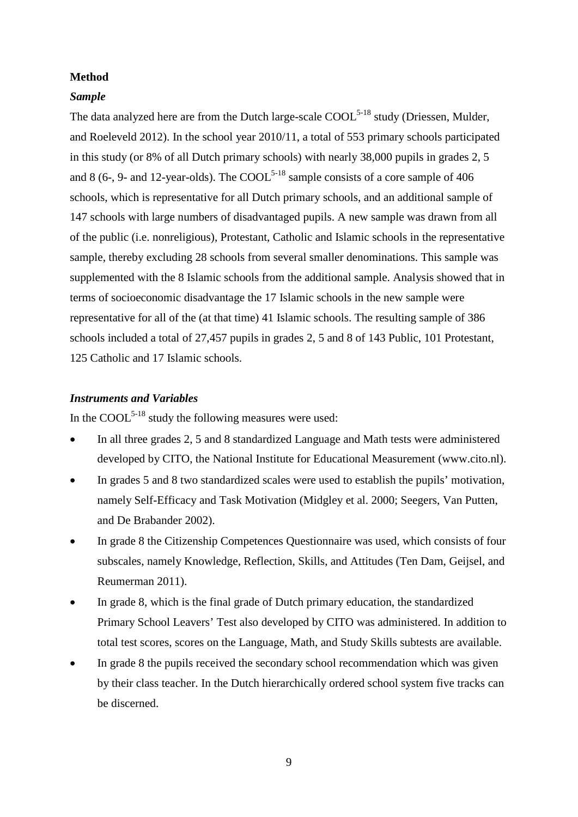### **Method**

## *Sample*

The data analyzed here are from the Dutch large-scale  $COOL<sup>5-18</sup>$  study (Driessen, Mulder, and Roeleveld 2012). In the school year 2010/11, a total of 553 primary schools participated in this study (or 8% of all Dutch primary schools) with nearly 38,000 pupils in grades 2, 5 and 8 (6-, 9- and 12-year-olds). The COOL<sup>5-18</sup> sample consists of a core sample of 406 schools, which is representative for all Dutch primary schools, and an additional sample of 147 schools with large numbers of disadvantaged pupils. A new sample was drawn from all of the public (i.e. nonreligious), Protestant, Catholic and Islamic schools in the representative sample, thereby excluding 28 schools from several smaller denominations. This sample was supplemented with the 8 Islamic schools from the additional sample. Analysis showed that in terms of socioeconomic disadvantage the 17 Islamic schools in the new sample were representative for all of the (at that time) 41 Islamic schools. The resulting sample of 386 schools included a total of 27,457 pupils in grades 2, 5 and 8 of 143 Public, 101 Protestant, 125 Catholic and 17 Islamic schools.

## *Instruments and Variables*

In the  $\text{COOL}^{5-18}$  study the following measures were used:

- In all three grades 2, 5 and 8 standardized Language and Math tests were administered developed by CITO, the National Institute for Educational Measurement (www.cito.nl).
- In grades 5 and 8 two standardized scales were used to establish the pupils' motivation, namely Self-Efficacy and Task Motivation (Midgley et al. 2000; Seegers, Van Putten, and De Brabander 2002).
- In grade 8 the Citizenship Competences Questionnaire was used, which consists of four subscales, namely Knowledge, Reflection, Skills, and Attitudes (Ten Dam, Geijsel, and Reumerman 2011).
- In grade 8, which is the final grade of Dutch primary education, the standardized Primary School Leavers' Test also developed by CITO was administered. In addition to total test scores, scores on the Language, Math, and Study Skills subtests are available.
- In grade 8 the pupils received the secondary school recommendation which was given by their class teacher. In the Dutch hierarchically ordered school system five tracks can be discerned.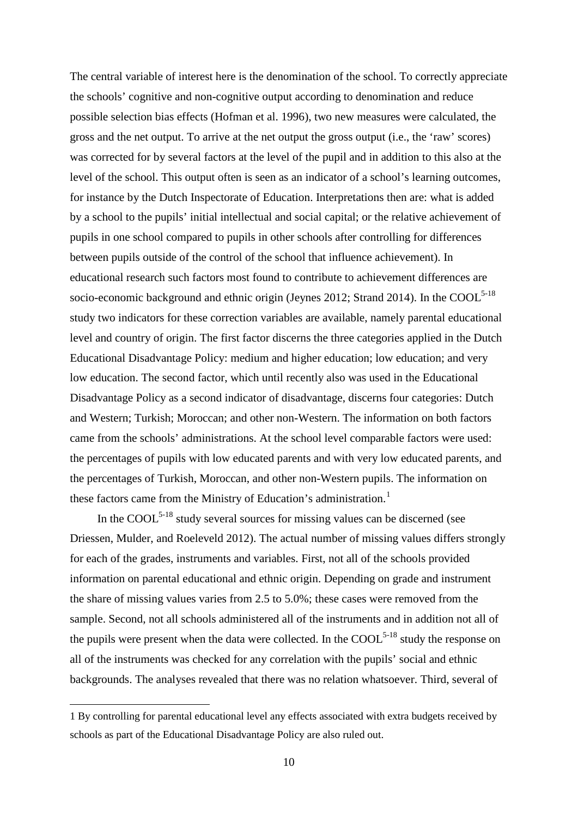The central variable of interest here is the denomination of the school. To correctly appreciate the schools' cognitive and non-cognitive output according to denomination and reduce possible selection bias effects (Hofman et al. 1996), two new measures were calculated, the gross and the net output. To arrive at the net output the gross output (i.e., the 'raw' scores) was corrected for by several factors at the level of the pupil and in addition to this also at the level of the school. This output often is seen as an indicator of a school's learning outcomes, for instance by the Dutch Inspectorate of Education. Interpretations then are: what is added by a school to the pupils' initial intellectual and social capital; or the relative achievement of pupils in one school compared to pupils in other schools after controlling for differences between pupils outside of the control of the school that influence achievement). In educational research such factors most found to contribute to achievement differences are socio-economic background and ethnic origin (Jeynes 2012; Strand 2014). In the COOL<sup>5-18</sup> study two indicators for these correction variables are available, namely parental educational level and country of origin. The first factor discerns the three categories applied in the Dutch Educational Disadvantage Policy: medium and higher education; low education; and very low education. The second factor, which until recently also was used in the Educational Disadvantage Policy as a second indicator of disadvantage, discerns four categories: Dutch and Western; Turkish; Moroccan; and other non-Western. The information on both factors came from the schools' administrations. At the school level comparable factors were used: the percentages of pupils with low educated parents and with very low educated parents, and the percentages of Turkish, Moroccan, and other non-Western pupils. The information on these factors came from the Ministry of Education's administration.<sup>[1](#page-10-0)</sup>

In the  $\text{COOL}^{5-18}$  study several sources for missing values can be discerned (see Driessen, Mulder, and Roeleveld 2012). The actual number of missing values differs strongly for each of the grades, instruments and variables. First, not all of the schools provided information on parental educational and ethnic origin. Depending on grade and instrument the share of missing values varies from 2.5 to 5.0%; these cases were removed from the sample. Second, not all schools administered all of the instruments and in addition not all of the pupils were present when the data were collected. In the  $COOL<sup>5-18</sup>$  study the response on all of the instruments was checked for any correlation with the pupils' social and ethnic backgrounds. The analyses revealed that there was no relation whatsoever. Third, several of

-

<span id="page-10-0"></span><sup>1</sup> By controlling for parental educational level any effects associated with extra budgets received by schools as part of the Educational Disadvantage Policy are also ruled out.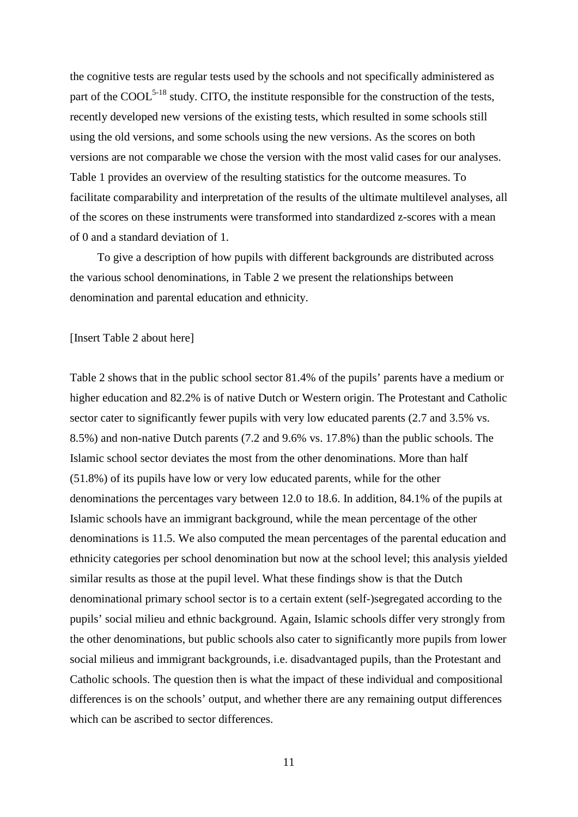the cognitive tests are regular tests used by the schools and not specifically administered as part of the COOL<sup>5-18</sup> study. CITO, the institute responsible for the construction of the tests, recently developed new versions of the existing tests, which resulted in some schools still using the old versions, and some schools using the new versions. As the scores on both versions are not comparable we chose the version with the most valid cases for our analyses. Table 1 provides an overview of the resulting statistics for the outcome measures. To facilitate comparability and interpretation of the results of the ultimate multilevel analyses, all of the scores on these instruments were transformed into standardized z-scores with a mean of 0 and a standard deviation of 1.

To give a description of how pupils with different backgrounds are distributed across the various school denominations, in Table 2 we present the relationships between denomination and parental education and ethnicity.

### [Insert Table 2 about here]

Table 2 shows that in the public school sector 81.4% of the pupils' parents have a medium or higher education and 82.2% is of native Dutch or Western origin. The Protestant and Catholic sector cater to significantly fewer pupils with very low educated parents (2.7 and 3.5% vs. 8.5%) and non-native Dutch parents (7.2 and 9.6% vs. 17.8%) than the public schools. The Islamic school sector deviates the most from the other denominations. More than half (51.8%) of its pupils have low or very low educated parents, while for the other denominations the percentages vary between 12.0 to 18.6. In addition, 84.1% of the pupils at Islamic schools have an immigrant background, while the mean percentage of the other denominations is 11.5. We also computed the mean percentages of the parental education and ethnicity categories per school denomination but now at the school level; this analysis yielded similar results as those at the pupil level. What these findings show is that the Dutch denominational primary school sector is to a certain extent (self-)segregated according to the pupils' social milieu and ethnic background. Again, Islamic schools differ very strongly from the other denominations, but public schools also cater to significantly more pupils from lower social milieus and immigrant backgrounds, i.e. disadvantaged pupils, than the Protestant and Catholic schools. The question then is what the impact of these individual and compositional differences is on the schools' output, and whether there are any remaining output differences which can be ascribed to sector differences.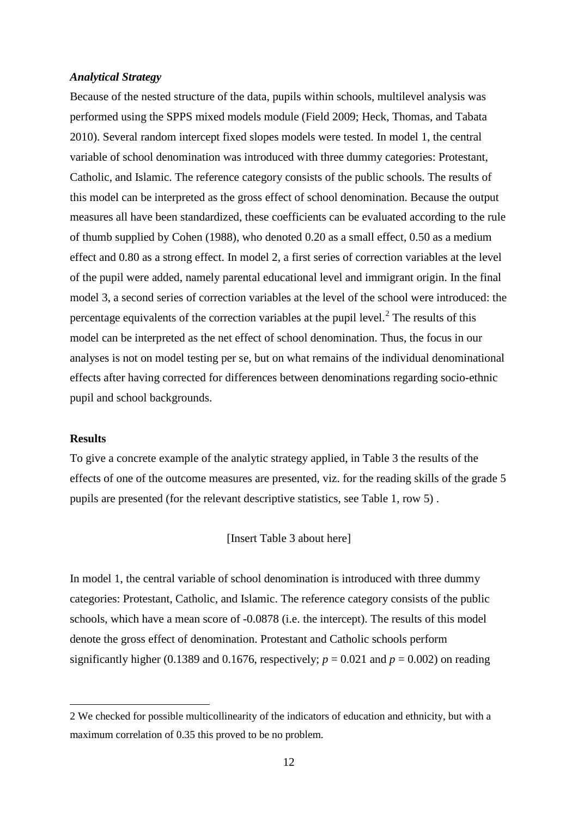#### *Analytical Strategy*

Because of the nested structure of the data, pupils within schools, multilevel analysis was performed using the SPPS mixed models module (Field 2009; Heck, Thomas, and Tabata 2010). Several random intercept fixed slopes models were tested. In model 1, the central variable of school denomination was introduced with three dummy categories: Protestant, Catholic, and Islamic. The reference category consists of the public schools. The results of this model can be interpreted as the gross effect of school denomination. Because the output measures all have been standardized, these coefficients can be evaluated according to the rule of thumb supplied by Cohen (1988), who denoted 0.20 as a small effect, 0.50 as a medium effect and 0.80 as a strong effect. In model 2, a first series of correction variables at the level of the pupil were added, namely parental educational level and immigrant origin. In the final model 3, a second series of correction variables at the level of the school were introduced: the percentage equivalents of the correction variables at the pupil level.<sup>[2](#page-12-0)</sup> The results of this model can be interpreted as the net effect of school denomination. Thus, the focus in our analyses is not on model testing per se, but on what remains of the individual denominational effects after having corrected for differences between denominations regarding socio-ethnic pupil and school backgrounds.

#### **Results**

-

To give a concrete example of the analytic strategy applied, in Table 3 the results of the effects of one of the outcome measures are presented, viz. for the reading skills of the grade 5 pupils are presented (for the relevant descriptive statistics, see Table 1, row 5) .

[Insert Table 3 about here]

In model 1, the central variable of school denomination is introduced with three dummy categories: Protestant, Catholic, and Islamic. The reference category consists of the public schools, which have a mean score of -0.0878 (i.e. the intercept). The results of this model denote the gross effect of denomination. Protestant and Catholic schools perform significantly higher (0.1389 and 0.1676, respectively;  $p = 0.021$  and  $p = 0.002$ ) on reading

<span id="page-12-0"></span><sup>2</sup> We checked for possible multicollinearity of the indicators of education and ethnicity, but with a maximum correlation of 0.35 this proved to be no problem.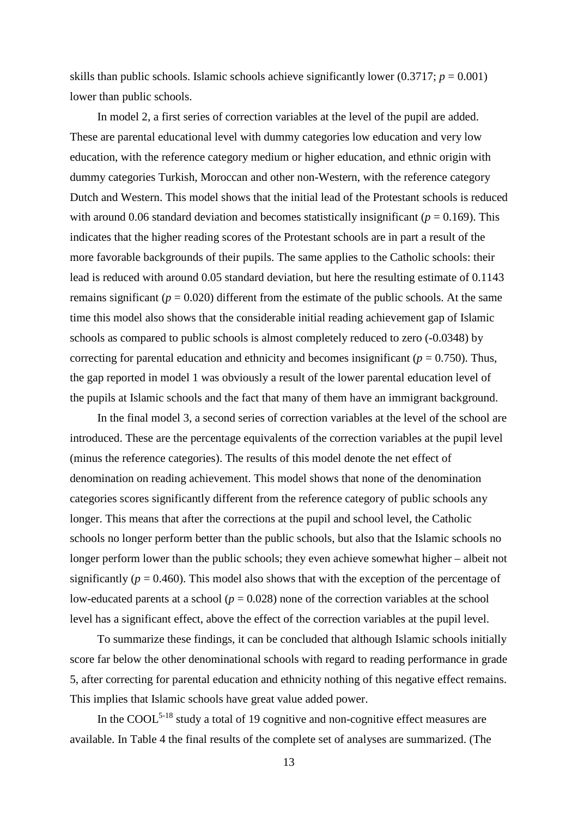skills than public schools. Islamic schools achieve significantly lower  $(0.3717; p = 0.001)$ lower than public schools.

In model 2, a first series of correction variables at the level of the pupil are added. These are parental educational level with dummy categories low education and very low education, with the reference category medium or higher education, and ethnic origin with dummy categories Turkish, Moroccan and other non-Western, with the reference category Dutch and Western. This model shows that the initial lead of the Protestant schools is reduced with around 0.06 standard deviation and becomes statistically insignificant ( $p = 0.169$ ). This indicates that the higher reading scores of the Protestant schools are in part a result of the more favorable backgrounds of their pupils. The same applies to the Catholic schools: their lead is reduced with around 0.05 standard deviation, but here the resulting estimate of 0.1143 remains significant  $(p = 0.020)$  different from the estimate of the public schools. At the same time this model also shows that the considerable initial reading achievement gap of Islamic schools as compared to public schools is almost completely reduced to zero (-0.0348) by correcting for parental education and ethnicity and becomes insignificant ( $p = 0.750$ ). Thus, the gap reported in model 1 was obviously a result of the lower parental education level of the pupils at Islamic schools and the fact that many of them have an immigrant background.

In the final model 3, a second series of correction variables at the level of the school are introduced. These are the percentage equivalents of the correction variables at the pupil level (minus the reference categories). The results of this model denote the net effect of denomination on reading achievement. This model shows that none of the denomination categories scores significantly different from the reference category of public schools any longer. This means that after the corrections at the pupil and school level, the Catholic schools no longer perform better than the public schools, but also that the Islamic schools no longer perform lower than the public schools; they even achieve somewhat higher – albeit not significantly ( $p = 0.460$ ). This model also shows that with the exception of the percentage of low-educated parents at a school ( $p = 0.028$ ) none of the correction variables at the school level has a significant effect, above the effect of the correction variables at the pupil level.

To summarize these findings, it can be concluded that although Islamic schools initially score far below the other denominational schools with regard to reading performance in grade 5, after correcting for parental education and ethnicity nothing of this negative effect remains. This implies that Islamic schools have great value added power.

In the COOL<sup>5-18</sup> study a total of 19 cognitive and non-cognitive effect measures are available. In Table 4 the final results of the complete set of analyses are summarized. (The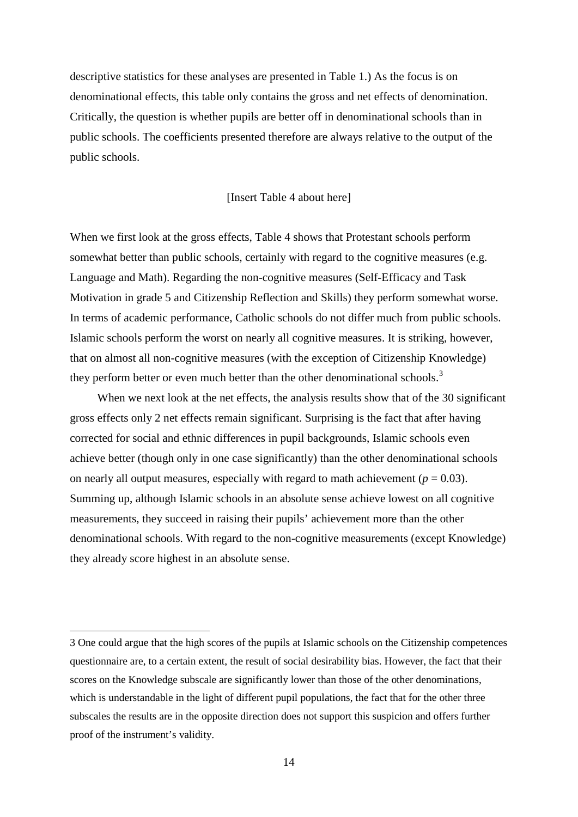descriptive statistics for these analyses are presented in Table 1.) As the focus is on denominational effects, this table only contains the gross and net effects of denomination. Critically, the question is whether pupils are better off in denominational schools than in public schools. The coefficients presented therefore are always relative to the output of the public schools.

#### [Insert Table 4 about here]

When we first look at the gross effects, Table 4 shows that Protestant schools perform somewhat better than public schools, certainly with regard to the cognitive measures (e.g. Language and Math). Regarding the non-cognitive measures (Self-Efficacy and Task Motivation in grade 5 and Citizenship Reflection and Skills) they perform somewhat worse. In terms of academic performance, Catholic schools do not differ much from public schools. Islamic schools perform the worst on nearly all cognitive measures. It is striking, however, that on almost all non-cognitive measures (with the exception of Citizenship Knowledge) they perform better or even much better than the other denominational schools.<sup>[3](#page-14-0)</sup>

When we next look at the net effects, the analysis results show that of the 30 significant gross effects only 2 net effects remain significant. Surprising is the fact that after having corrected for social and ethnic differences in pupil backgrounds, Islamic schools even achieve better (though only in one case significantly) than the other denominational schools on nearly all output measures, especially with regard to math achievement ( $p = 0.03$ ). Summing up, although Islamic schools in an absolute sense achieve lowest on all cognitive measurements, they succeed in raising their pupils' achievement more than the other denominational schools. With regard to the non-cognitive measurements (except Knowledge) they already score highest in an absolute sense.

<u>.</u>

<span id="page-14-0"></span><sup>3</sup> One could argue that the high scores of the pupils at Islamic schools on the Citizenship competences questionnaire are, to a certain extent, the result of social desirability bias. However, the fact that their scores on the Knowledge subscale are significantly lower than those of the other denominations, which is understandable in the light of different pupil populations, the fact that for the other three subscales the results are in the opposite direction does not support this suspicion and offers further proof of the instrument's validity.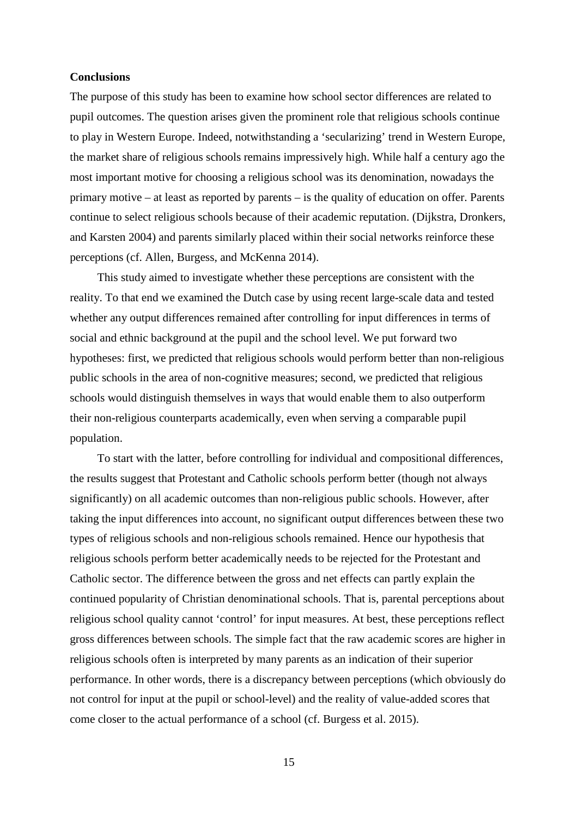#### **Conclusions**

The purpose of this study has been to examine how school sector differences are related to pupil outcomes. The question arises given the prominent role that religious schools continue to play in Western Europe. Indeed, notwithstanding a 'secularizing' trend in Western Europe, the market share of religious schools remains impressively high. While half a century ago the most important motive for choosing a religious school was its denomination, nowadays the primary motive – at least as reported by parents – is the quality of education on offer. Parents continue to select religious schools because of their academic reputation. (Dijkstra, Dronkers, and Karsten 2004) and parents similarly placed within their social networks reinforce these perceptions (cf. Allen, Burgess, and McKenna 2014).

This study aimed to investigate whether these perceptions are consistent with the reality. To that end we examined the Dutch case by using recent large-scale data and tested whether any output differences remained after controlling for input differences in terms of social and ethnic background at the pupil and the school level. We put forward two hypotheses: first, we predicted that religious schools would perform better than non-religious public schools in the area of non-cognitive measures; second, we predicted that religious schools would distinguish themselves in ways that would enable them to also outperform their non-religious counterparts academically, even when serving a comparable pupil population.

To start with the latter, before controlling for individual and compositional differences, the results suggest that Protestant and Catholic schools perform better (though not always significantly) on all academic outcomes than non-religious public schools. However, after taking the input differences into account, no significant output differences between these two types of religious schools and non-religious schools remained. Hence our hypothesis that religious schools perform better academically needs to be rejected for the Protestant and Catholic sector. The difference between the gross and net effects can partly explain the continued popularity of Christian denominational schools. That is, parental perceptions about religious school quality cannot 'control' for input measures. At best, these perceptions reflect gross differences between schools. The simple fact that the raw academic scores are higher in religious schools often is interpreted by many parents as an indication of their superior performance. In other words, there is a discrepancy between perceptions (which obviously do not control for input at the pupil or school-level) and the reality of value-added scores that come closer to the actual performance of a school (cf. Burgess et al. 2015).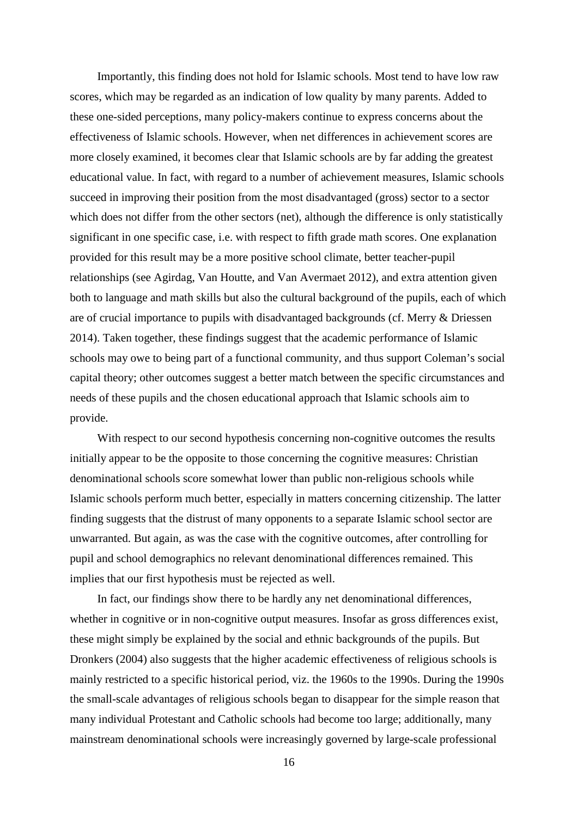Importantly, this finding does not hold for Islamic schools. Most tend to have low raw scores, which may be regarded as an indication of low quality by many parents. Added to these one-sided perceptions, many policy-makers continue to express concerns about the effectiveness of Islamic schools. However, when net differences in achievement scores are more closely examined, it becomes clear that Islamic schools are by far adding the greatest educational value. In fact, with regard to a number of achievement measures, Islamic schools succeed in improving their position from the most disadvantaged (gross) sector to a sector which does not differ from the other sectors (net), although the difference is only statistically significant in one specific case, i.e. with respect to fifth grade math scores. One explanation provided for this result may be a more positive school climate, better teacher-pupil relationships (see Agirdag, Van Houtte, and Van Avermaet 2012), and extra attention given both to language and math skills but also the cultural background of the pupils, each of which are of crucial importance to pupils with disadvantaged backgrounds (cf. Merry & Driessen 2014). Taken together, these findings suggest that the academic performance of Islamic schools may owe to being part of a functional community, and thus support Coleman's social capital theory; other outcomes suggest a better match between the specific circumstances and needs of these pupils and the chosen educational approach that Islamic schools aim to provide.

With respect to our second hypothesis concerning non-cognitive outcomes the results initially appear to be the opposite to those concerning the cognitive measures: Christian denominational schools score somewhat lower than public non-religious schools while Islamic schools perform much better, especially in matters concerning citizenship. The latter finding suggests that the distrust of many opponents to a separate Islamic school sector are unwarranted. But again, as was the case with the cognitive outcomes, after controlling for pupil and school demographics no relevant denominational differences remained. This implies that our first hypothesis must be rejected as well.

In fact, our findings show there to be hardly any net denominational differences, whether in cognitive or in non-cognitive output measures. Insofar as gross differences exist, these might simply be explained by the social and ethnic backgrounds of the pupils. But Dronkers (2004) also suggests that the higher academic effectiveness of religious schools is mainly restricted to a specific historical period, viz. the 1960s to the 1990s. During the 1990s the small-scale advantages of religious schools began to disappear for the simple reason that many individual Protestant and Catholic schools had become too large; additionally, many mainstream denominational schools were increasingly governed by large-scale professional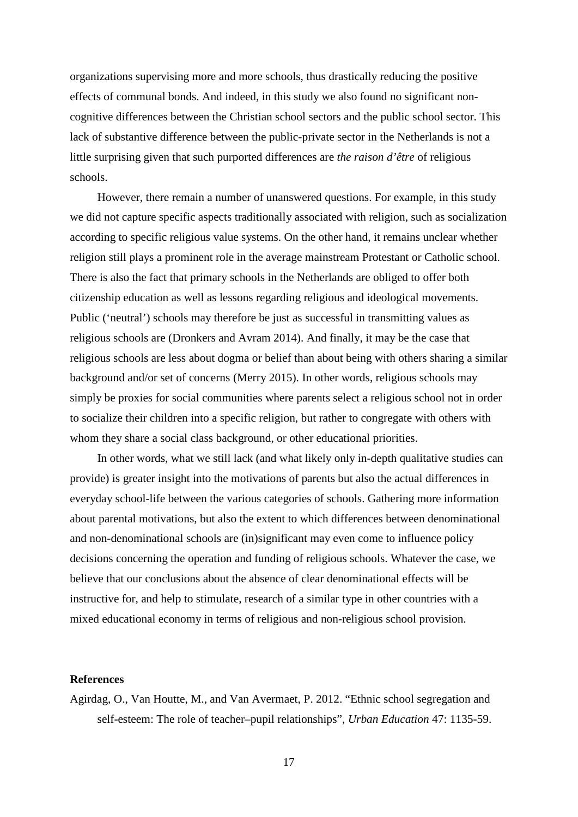organizations supervising more and more schools, thus drastically reducing the positive effects of communal bonds. And indeed, in this study we also found no significant noncognitive differences between the Christian school sectors and the public school sector. This lack of substantive difference between the public-private sector in the Netherlands is not a little surprising given that such purported differences are *the raison d'être* of religious schools.

However, there remain a number of unanswered questions. For example, in this study we did not capture specific aspects traditionally associated with religion, such as socialization according to specific religious value systems. On the other hand, it remains unclear whether religion still plays a prominent role in the average mainstream Protestant or Catholic school. There is also the fact that primary schools in the Netherlands are obliged to offer both citizenship education as well as lessons regarding religious and ideological movements. Public ('neutral') schools may therefore be just as successful in transmitting values as religious schools are (Dronkers and Avram 2014). And finally, it may be the case that religious schools are less about dogma or belief than about being with others sharing a similar background and/or set of concerns (Merry 2015). In other words, religious schools may simply be proxies for social communities where parents select a religious school not in order to socialize their children into a specific religion, but rather to congregate with others with whom they share a social class background, or other educational priorities.

In other words, what we still lack (and what likely only in-depth qualitative studies can provide) is greater insight into the motivations of parents but also the actual differences in everyday school-life between the various categories of schools. Gathering more information about parental motivations, but also the extent to which differences between denominational and non-denominational schools are (in)significant may even come to influence policy decisions concerning the operation and funding of religious schools. Whatever the case, we believe that our conclusions about the absence of clear denominational effects will be instructive for, and help to stimulate, research of a similar type in other countries with a mixed educational economy in terms of religious and non-religious school provision.

#### **References**

Agirdag, O., Van Houtte, M., and Van Avermaet, P. 2012. "Ethnic school segregation and self-esteem: The role of teacher–pupil relationships", *Urban Education* 47: 1135-59.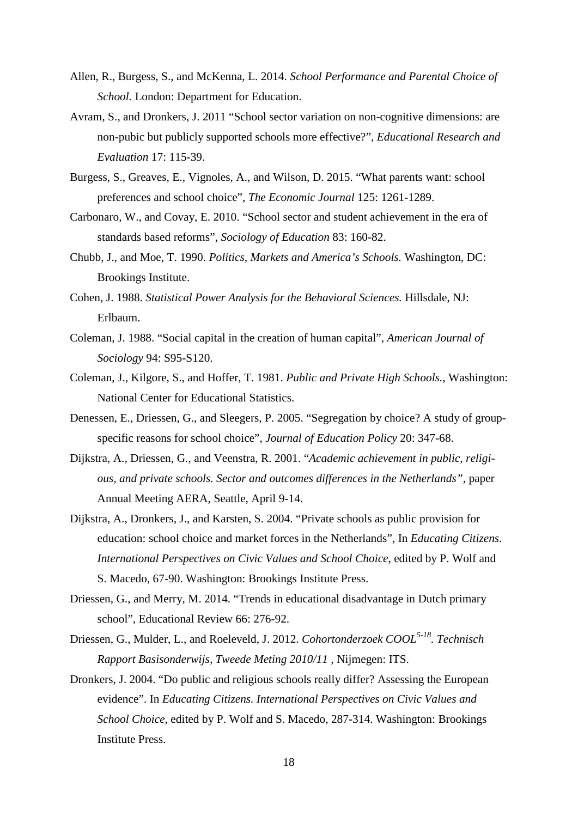- Allen, R., Burgess, S., and McKenna, L. 2014. *School Performance and Parental Choice of School.* London: Department for Education.
- Avram, S., and Dronkers, J. 2011 "School sector variation on non-cognitive dimensions: are non-pubic but publicly supported schools more effective?", *Educational Research and Evaluation* 17: 115-39.
- Burgess, S., Greaves, E., Vignoles, A., and Wilson, D. 2015. "What parents want: school preferences and school choice", *The Economic Journal* 125: 1261-1289.
- Carbonaro, W., and Covay, E. 2010. "School sector and student achievement in the era of standards based reforms", *Sociology of Education* 83: 160-82.
- Chubb, J., and Moe, T. 1990. *Politics, Markets and America's Schools.* Washington, DC: Brookings Institute.
- Cohen, J. 1988. *Statistical Power Analysis for the Behavioral Sciences.* Hillsdale, NJ: Erlbaum.
- Coleman, J. 1988. "Social capital in the creation of human capital", *American Journal of Sociology* 94: S95-S120.
- Coleman, J., Kilgore, S., and Hoffer, T. 1981. *Public and Private High Schools.,* Washington: National Center for Educational Statistics.
- Denessen, E., Driessen, G., and Sleegers, P. 2005. "Segregation by choice? A study of groupspecific reasons for school choice", *Journal of Education Policy* 20: 347-68.
- Dijkstra, A., Driessen, G., and Veenstra, R. 2001. "*Academic achievement in public, religious, and private schools. Sector and outcomes differences in the Netherlands",* paper Annual Meeting AERA, Seattle, April 9-14.
- Dijkstra, A., Dronkers, J., and Karsten, S. 2004. "Private schools as public provision for education: school choice and market forces in the Netherlands", In *Educating Citizens. International Perspectives on Civic Values and School Choice*, edited by P. Wolf and S. Macedo, 67-90. Washington: Brookings Institute Press.
- Driessen, G., and Merry, M. 2014. "Trends in educational disadvantage in Dutch primary school", Educational Review 66: 276-92.
- Driessen, G., Mulder, L., and Roeleveld, J. 2012. *Cohortonderzoek COOL5-18. Technisch Rapport Basisonderwijs, Tweede Meting 2010/11 ,* Nijmegen: ITS.
- Dronkers, J. 2004. "Do public and religious schools really differ? Assessing the European evidence". In *Educating Citizens. International Perspectives on Civic Values and School Choice*, edited by P. Wolf and S. Macedo, 287-314. Washington: Brookings Institute Press.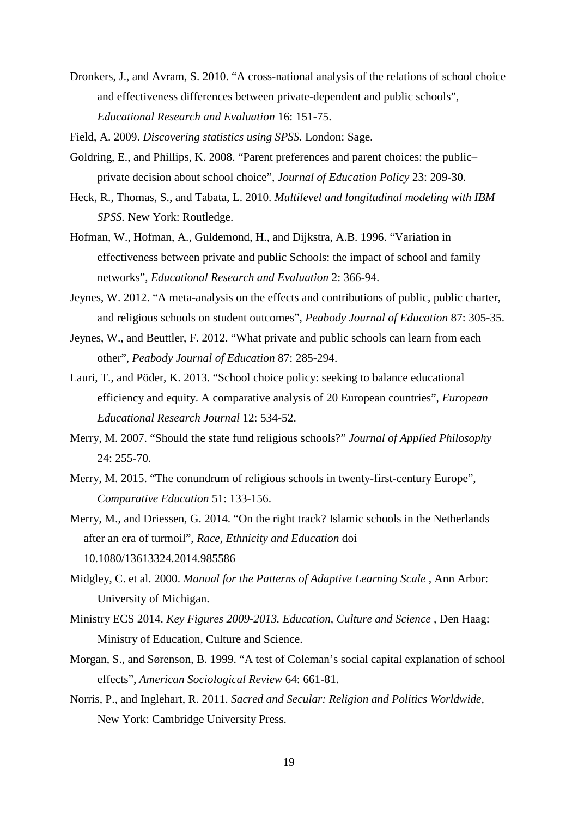Dronkers, J., and Avram, S. 2010. "A cross-national analysis of the relations of school choice and effectiveness differences between private-dependent and public schools", *Educational Research and Evaluation* 16: 151-75.

Field, A. 2009. *Discovering statistics using SPSS.* London: Sage.

- Goldring, E., and Phillips, K. 2008. "Parent preferences and parent choices: the public– private decision about school choice", *Journal of Education Policy* 23: 209-30.
- Heck, R., Thomas, S., and Tabata, L. 2010. *Multilevel and longitudinal modeling with IBM SPSS.* New York: Routledge.
- Hofman, W., Hofman, A., Guldemond, H., and Dijkstra, A.B. 1996. "Variation in effectiveness between private and public Schools: the impact of school and family networks", *Educational Research and Evaluation* 2: 366-94.
- Jeynes, W. 2012. "A meta-analysis on the effects and contributions of public, public charter, and religious schools on student outcomes", *Peabody Journal of Education* 87: 305-35.
- Jeynes, W., and Beuttler, F. 2012. "What private and public schools can learn from each other", *Peabody Journal of Education* 87: 285-294.
- Lauri, T., and Pöder, K. 2013. "School choice policy: seeking to balance educational efficiency and equity. A comparative analysis of 20 European countries", *European Educational Research Journal* 12: 534-52.
- Merry, M. 2007. "Should the state fund religious schools?" *Journal of Applied Philosophy*  24: 255-70.
- Merry, M. 2015. "The conundrum of religious schools in twenty-first-century Europe", *Comparative Education* 51: 133-156.
- Merry, M., and Driessen, G. 2014. "On the right track? Islamic schools in the Netherlands after an era of turmoil", *Race, Ethnicity and Education* doi 10.1080/13613324.2014.985586
- Midgley, C. et al. 2000. *Manual for the Patterns of Adaptive Learning Scale ,* Ann Arbor: University of Michigan.
- Ministry ECS 2014. *Key Figures 2009-2013. Education, Culture and Science ,* Den Haag: Ministry of Education, Culture and Science.
- Morgan, S., and Sørenson, B. 1999. "A test of Coleman's social capital explanation of school effects", *American Sociological Review* 64: 661-81.
- Norris, P., and Inglehart, R. 2011. *Sacred and Secular: Religion and Politics Worldwide,*  New York: Cambridge University Press.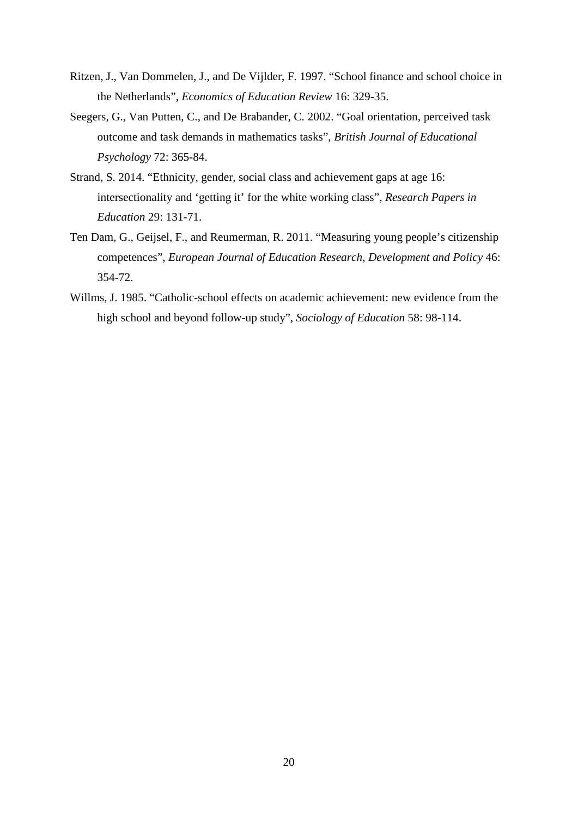- Ritzen, J., Van Dommelen, J., and De Vijlder, F. 1997. "School finance and school choice in the Netherlands", *Economics of Education Review* 16: 329-35.
- Seegers, G., Van Putten, C., and De Brabander, C. 2002. "Goal orientation, perceived task outcome and task demands in mathematics tasks", *British Journal of Educational Psychology* 72: 365-84.
- Strand, S. 2014. "Ethnicity, gender, social class and achievement gaps at age 16: intersectionality and 'getting it' for the white working class", *Research Papers in Education* 29: 131-71.
- Ten Dam, G., Geijsel, F., and Reumerman, R. 2011. "Measuring young people's citizenship competences", *European Journal of Education Research, Development and Policy* 46: 354-72.
- Willms, J. 1985. "Catholic-school effects on academic achievement: new evidence from the high school and beyond follow-up study", *Sociology of Education* 58: 98-114.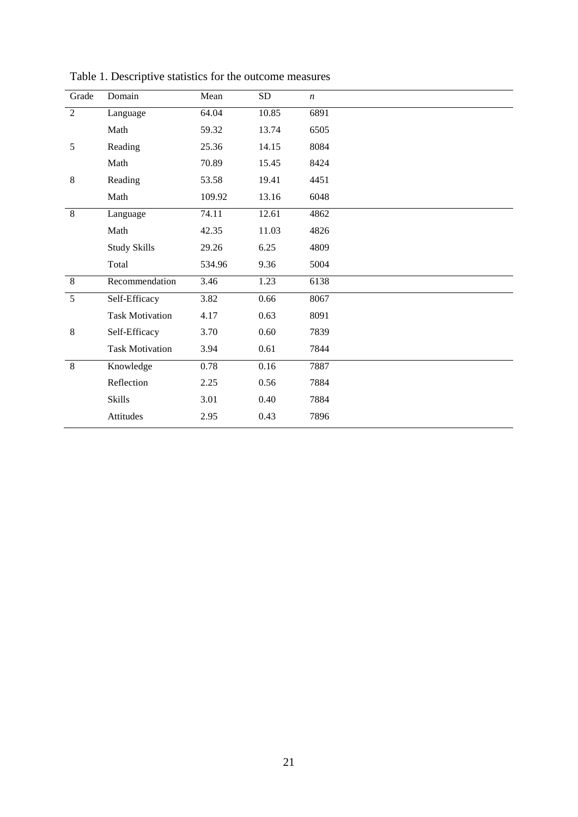| Grade          | Domain                 | Mean   | SD    | $\boldsymbol{n}$ |
|----------------|------------------------|--------|-------|------------------|
| $\overline{2}$ | Language               | 64.04  | 10.85 | 6891             |
|                | Math                   | 59.32  | 13.74 | 6505             |
| 5              | Reading                | 25.36  | 14.15 | 8084             |
|                | Math                   | 70.89  | 15.45 | 8424             |
| 8              | Reading                | 53.58  | 19.41 | 4451             |
|                | Math                   | 109.92 | 13.16 | 6048             |
| $\overline{8}$ | Language               | 74.11  | 12.61 | 4862             |
|                | Math                   | 42.35  | 11.03 | 4826             |
|                | <b>Study Skills</b>    | 29.26  | 6.25  | 4809             |
|                | Total                  | 534.96 | 9.36  | 5004             |
| $8\,$          | Recommendation         | 3.46   | 1.23  | 6138             |
| $\overline{5}$ | Self-Efficacy          | 3.82   | 0.66  | 8067             |
|                | <b>Task Motivation</b> | 4.17   | 0.63  | 8091             |
| 8              | Self-Efficacy          | 3.70   | 0.60  | 7839             |
|                | <b>Task Motivation</b> | 3.94   | 0.61  | 7844             |
| $\overline{8}$ | Knowledge              | 0.78   | 0.16  | 7887             |
|                | Reflection             | 2.25   | 0.56  | 7884             |
|                | <b>Skills</b>          | 3.01   | 0.40  | 7884             |
|                | Attitudes              | 2.95   | 0.43  | 7896             |

Table 1. Descriptive statistics for the outcome measures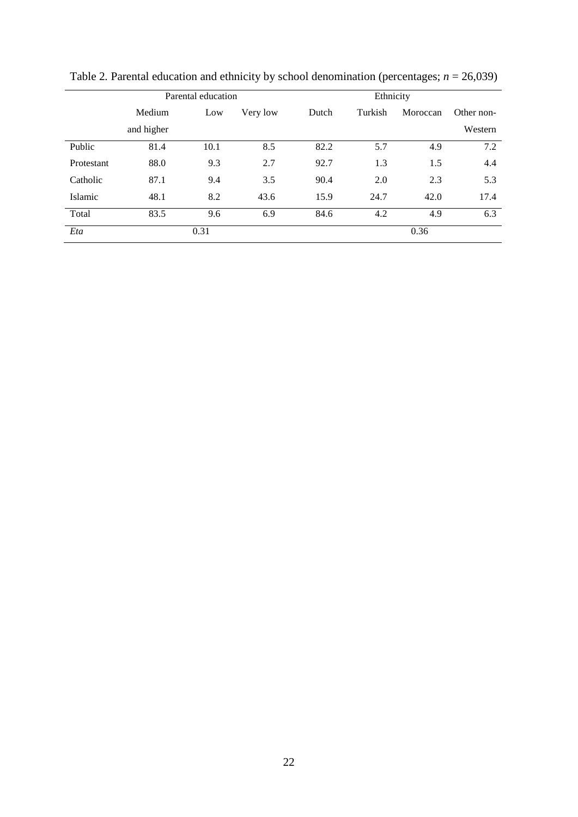|            |            | Parental education |          | Ethnicity |         |          |            |
|------------|------------|--------------------|----------|-----------|---------|----------|------------|
|            | Medium     | Low                | Very low | Dutch     | Turkish | Moroccan | Other non- |
|            | and higher |                    |          |           |         |          | Western    |
| Public     | 81.4       | 10.1               | 8.5      | 82.2      | 5.7     | 4.9      | 7.2        |
| Protestant | 88.0       | 9.3                | 2.7      | 92.7      | 1.3     | 1.5      | 4.4        |
| Catholic   | 87.1       | 9.4                | 3.5      | 90.4      | 2.0     | 2.3      | 5.3        |
| Islamic    | 48.1       | 8.2                | 43.6     | 15.9      | 24.7    | 42.0     | 17.4       |
| Total      | 83.5       | 9.6                | 6.9      | 84.6      | 4.2     | 4.9      | 6.3        |
| Eta        | 0.31       |                    |          | 0.36      |         |          |            |

Table 2. Parental education and ethnicity by school denomination (percentages;  $n = 26,039$ )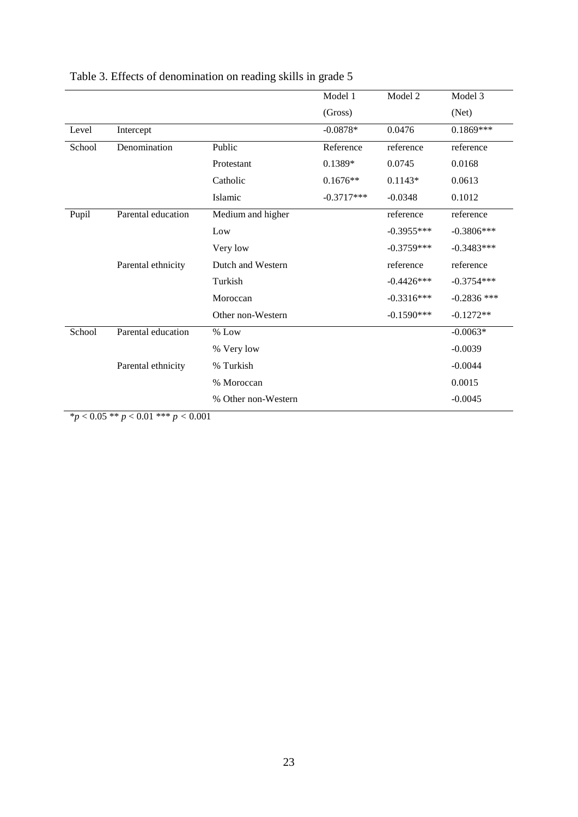|                              |                   | Model 1             | Model 2      | Model 3       |
|------------------------------|-------------------|---------------------|--------------|---------------|
|                              |                   | (Gross)             |              | (Net)         |
| Intercept<br>Level           |                   | $-0.0878*$          | 0.0476       | $0.1869***$   |
| Denomination<br>School       | Public            | Reference           | reference    | reference     |
|                              | Protestant        | 0.1389*             | 0.0745       | 0.0168        |
|                              | Catholic          | $0.1676**$          | $0.1143*$    | 0.0613        |
|                              | Islamic           | $-0.3717***$        | $-0.0348$    | 0.1012        |
| Pupil<br>Parental education  |                   | Medium and higher   |              | reference     |
|                              | Low               |                     | $-0.3955***$ | $-0.3806***$  |
|                              | Very low          |                     | $-0.3759***$ | $-0.3483***$  |
| Parental ethnicity           | Dutch and Western |                     | reference    | reference     |
|                              | Turkish           |                     | $-0.4426***$ | $-0.3754***$  |
|                              | Moroccan          |                     | $-0.3316***$ | $-0.2836$ *** |
|                              | Other non-Western |                     | $-0.1590***$ | $-0.1272**$   |
| Parental education<br>School | % Low             |                     |              | $-0.0063*$    |
|                              | % Very low        |                     |              | $-0.0039$     |
| Parental ethnicity           | % Turkish         |                     |              | $-0.0044$     |
|                              | % Moroccan        |                     |              | 0.0015        |
|                              |                   | % Other non-Western |              |               |

# Table 3. Effects of denomination on reading skills in grade 5

 $\frac{p}{p}$  < 0.05 \*\* *p* < 0.01 \*\*\* *p* < 0.001